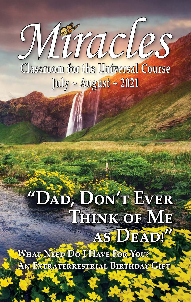Miracles **Classroom for the Universal Course July ~ August ~ 2021**

## **"Dad, Don't Ever Think of Me as Dead!"**

**What Need Do I Have For You? An Extraterrestrial Birthday Gift**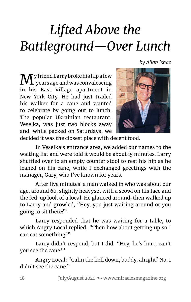## *Lifted Above the Battleground—Over Lunch*

*by Allan Ishac*

 $\mathbf{M}^\text{y friend Larry broke his hip a few}$ y friend Larry broke his hip a few in his East Village apartment in New York City. He had just traded his walker for a cane and wanted to celebrate by going out to lunch. The popular Ukrainian restaurant, Veselka, was just two blocks away and, while packed on Saturdays, we



decided it was the closest place with decent food.

In Veselka's entrance area, we added our names to the waiting list and were told it would be about 15 minutes. Larry shuffled over to an empty counter stool to rest his hip as he leaned on his cane, while I exchanged greetings with the manager, Gary, who I've known for years.

After five minutes, a man walked in who was about our age, around 60, slightly heavyset with a scowl on his face and the fed-up look of a local. He glanced around, then walked up to Larry and growled, "Hey, you just waiting around or you going to sit there?"

Larry responded that he was waiting for a table, to which Angry Local replied, "Then how about getting up so I can eat something?"

Larry didn't respond, but I did: "Hey, he's hurt, can't you see the cane?"

Angry Local: "Calm the hell down, buddy, alright? No, I didn't see the cane."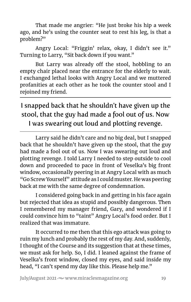That made me angrier: "He just broke his hip a week ago, and he's using the counter seat to rest his leg, is that a problem?"

Angry Local: "Friggin' relax, okay, I didn't see it." Turning to Larry, "Sit back down if you want."

But Larry was already off the stool, hobbling to an empty chair placed near the entrance for the elderly to wait. I exchanged lethal looks with Angry Local and we muttered profanities at each other as he took the counter stool and I rejoined my friend.

## I snapped back that he shouldn't have given up the stool, that the guy had made a fool out of us. Now I was swearing out loud and plotting revenge.

Larry said he didn't care and no big deal, but I snapped back that he shouldn't have given up the stool, that the guy had made a fool out of us. Now I was swearing out loud and plotting revenge. I told Larry I needed to step outside to cool down and proceeded to pace in front of Veselka's big front window, occasionally peering in at Angry Local with as much "Go Screw Yourself" attitude as I could muster. He was peering back at me with the same degree of condemnation.

I considered going back in and getting in his face again but rejected that idea as stupid and possibly dangerous. Then I remembered my manager friend, Gary, and wondered if I could convince him to "taint" Angry Local's food order. But I realized that was immature.

It occurred to me then that this ego attack was going to ruin my lunch and probably the rest of my day. And, suddenly, I thought of the Course and its suggestion that at these times, we must ask for help. So, I did. I leaned against the frame of Veselka's front window, closed my eyes, and said inside my head, "I can't spend my day like this. Please help me."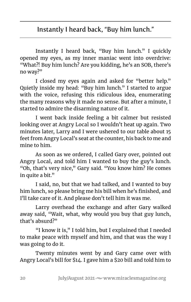Instantly I heard back, "Buy him lunch." I quickly opened my eyes, as my inner maniac went into overdrive: "What?! Buy him lunch? Are you kidding, he's an SOB, there's no way?"

I closed my eyes again and asked for "better help." Quietly inside my head: "Buy him lunch." I started to argue with the voice, refusing this ridiculous idea, enumerating the many reasons why it made no sense. But after a minute, I started to admire the disarming nature of it.

I went back inside feeling a bit calmer but resisted looking over at Angry Local so I wouldn't heat up again. Two minutes later, Larry and I were ushered to our table about 15 feet from Angry Local's seat at the counter, his back to me and mine to him.

As soon as we ordered, I called Gary over, pointed out Angry Local, and told him I wanted to buy the guy's lunch. "Oh, that's very nice," Gary said. "You know him? He comes in quite a bit."

I said, no, but that we had talked, and I wanted to buy him lunch, so please bring me his bill when he's finished, and I'll take care of it. And please don't tell him it was me.

Larry overhead the exchange and after Gary walked away said, "Wait, what, why would you buy that guy lunch, that's absurd?"

"I know it is," I told him, but I explained that I needed to make peace with myself and him, and that was the way I was going to do it.

Twenty minutes went by and Gary came over with Angry Local's bill for \$14. I gave him a \$20 bill and told him to